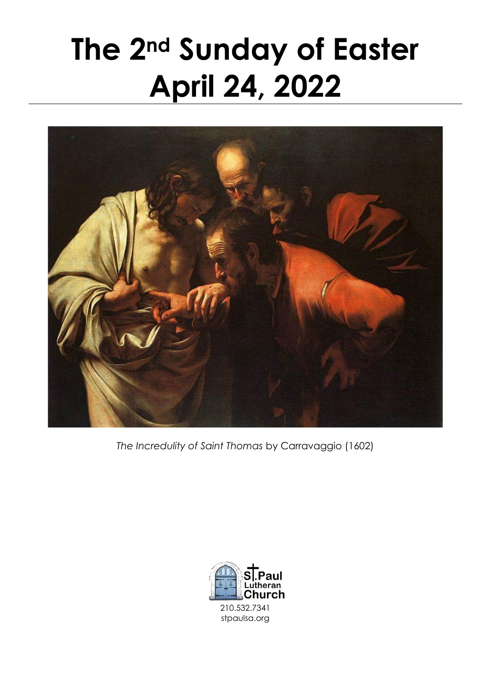# **The 2nd Sunday of Easter April 24, 2022**



*The Incredulity of Saint Thomas* by Carravaggio (1602)

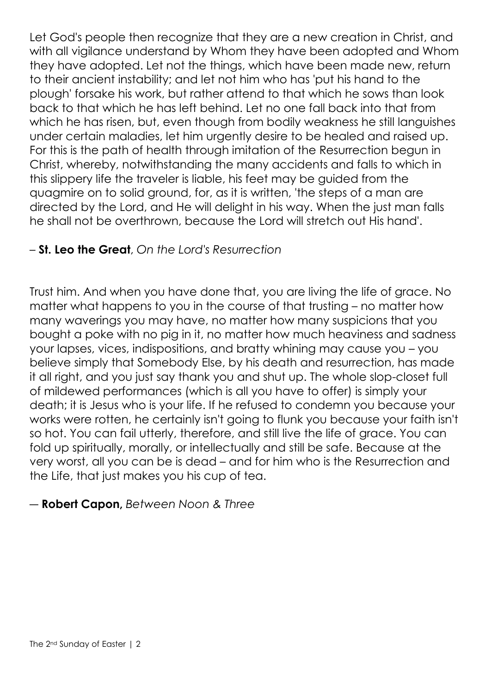Let God's people then recognize that they are a new creation in Christ, and with all vigilance understand by Whom they have been adopted and Whom they have adopted. Let not the things, which have been made new, return to their ancient instability; and let not him who has 'put his hand to the plough' forsake his work, but rather attend to that which he sows than look back to that which he has left behind. Let no one fall back into that from which he has risen, but, even though from bodily weakness he still languishes under certain maladies, let him urgently desire to be healed and raised up. For this is the path of health through imitation of the Resurrection begun in Christ, whereby, notwithstanding the many accidents and falls to which in this slippery life the traveler is liable, his feet may be guided from the quagmire on to solid ground, for, as it is written, 'the steps of a man are directed by the Lord, and He will delight in his way. When the just man falls he shall not be overthrown, because the Lord will stretch out His hand'.

#### – **St. Leo the Great**, *On the Lord's Resurrection*

Trust him. And when you have done that, you are living the life of grace. No matter what happens to you in the course of that trusting – no matter how many waverings you may have, no matter how many suspicions that you bought a poke with no pig in it, no matter how much heaviness and sadness your lapses, vices, indispositions, and bratty whining may cause you – you believe simply that Somebody Else, by his death and resurrection, has made it all right, and you just say thank you and shut up. The whole slop-closet full of mildewed performances (which is all you have to offer) is simply your death; it is Jesus who is your life. If he refused to condemn you because your works were rotten, he certainly isn't going to flunk you because your faith isn't so hot. You can fail utterly, therefore, and still live the life of grace. You can fold up spiritually, morally, or intellectually and still be safe. Because at the very worst, all you can be is dead – and for him who is the Resurrection and the Life, that just makes you his cup of tea.

#### ― **Robert Capon,** *Between Noon & Three*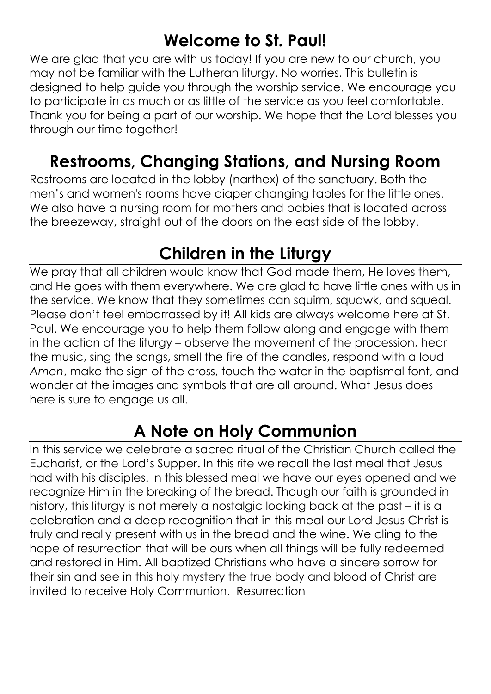# **Welcome to St. Paul!**

We are glad that you are with us today! If you are new to our church, you may not be familiar with the Lutheran liturgy. No worries. This bulletin is designed to help guide you through the worship service. We encourage you to participate in as much or as little of the service as you feel comfortable. Thank you for being a part of our worship. We hope that the Lord blesses you through our time together!

# **Restrooms, Changing Stations, and Nursing Room**

Restrooms are located in the lobby (narthex) of the sanctuary. Both the men's and women's rooms have diaper changing tables for the little ones. We also have a nursing room for mothers and babies that is located across the breezeway, straight out of the doors on the east side of the lobby.

# **Children in the Liturgy**

We pray that all children would know that God made them, He loves them, and He goes with them everywhere. We are glad to have little ones with us in the service. We know that they sometimes can squirm, squawk, and squeal. Please don't feel embarrassed by it! All kids are always welcome here at St. Paul. We encourage you to help them follow along and engage with them in the action of the liturgy – observe the movement of the procession, hear the music, sing the songs, smell the fire of the candles, respond with a loud *Amen*, make the sign of the cross, touch the water in the baptismal font, and wonder at the images and symbols that are all around. What Jesus does here is sure to engage us all.

# **A Note on Holy Communion**

In this service we celebrate a sacred ritual of the Christian Church called the Eucharist, or the Lord's Supper. In this rite we recall the last meal that Jesus had with his disciples. In this blessed meal we have our eyes opened and we recognize Him in the breaking of the bread. Though our faith is grounded in history, this liturgy is not merely a nostalgic looking back at the past – it is a celebration and a deep recognition that in this meal our Lord Jesus Christ is truly and really present with us in the bread and the wine. We cling to the hope of resurrection that will be ours when all things will be fully redeemed and restored in Him. All baptized Christians who have a sincere sorrow for their sin and see in this holy mystery the true body and blood of Christ are invited to receive Holy Communion. Resurrection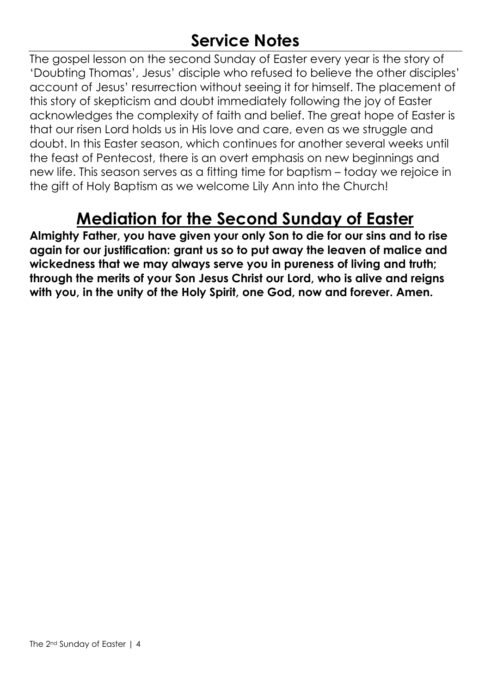# **Service Notes**

The gospel lesson on the second Sunday of Easter every year is the story of 'Doubting Thomas', Jesus' disciple who refused to believe the other disciples' account of Jesus' resurrection without seeing it for himself. The placement of this story of skepticism and doubt immediately following the joy of Easter acknowledges the complexity of faith and belief. The great hope of Easter is that our risen Lord holds us in His love and care, even as we struggle and doubt. In this Easter season, which continues for another several weeks until the feast of Pentecost, there is an overt emphasis on new beginnings and new life. This season serves as a fitting time for baptism – today we rejoice in the gift of Holy Baptism as we welcome Lily Ann into the Church!

# **Mediation for the Second Sunday of Easter**

**Almighty Father, you have given your only Son to die for our sins and to rise again for our justification: grant us so to put away the leaven of malice and wickedness that we may always serve you in pureness of living and truth; through the merits of your Son Jesus Christ our Lord, who is alive and reigns with you, in the unity of the Holy Spirit, one God, now and forever. Amen.**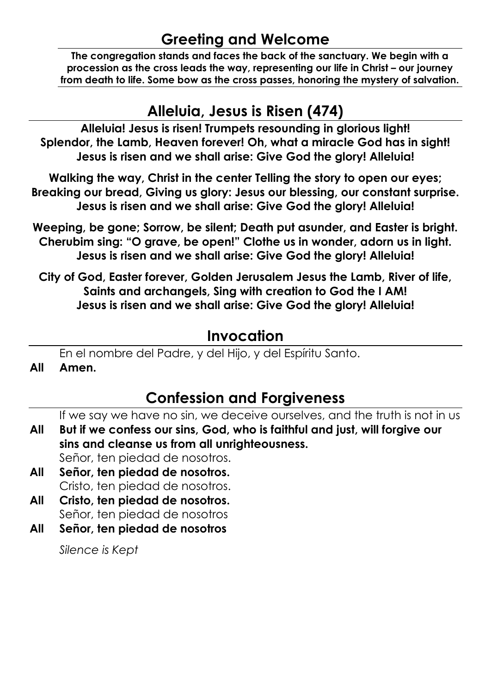## **Greeting and Welcome**

**The congregation stands and faces the back of the sanctuary. We begin with a procession as the cross leads the way, representing our life in Christ – our journey from death to life. Some bow as the cross passes, honoring the mystery of salvation.**

## **Alleluia, Jesus is Risen (474)**

**Alleluia! Jesus is risen! Trumpets resounding in glorious light! Splendor, the Lamb, Heaven forever! Oh, what a miracle God has in sight! Jesus is risen and we shall arise: Give God the glory! Alleluia!**

**Walking the way, Christ in the center Telling the story to open our eyes; Breaking our bread, Giving us glory: Jesus our blessing, our constant surprise. Jesus is risen and we shall arise: Give God the glory! Alleluia!**

**Weeping, be gone; Sorrow, be silent; Death put asunder, and Easter is bright. Cherubim sing: "O grave, be open!" Clothe us in wonder, adorn us in light. Jesus is risen and we shall arise: Give God the glory! Alleluia!**

**City of God, Easter forever, Golden Jerusalem Jesus the Lamb, River of life, Saints and archangels, Sing with creation to God the I AM! Jesus is risen and we shall arise: Give God the glory! Alleluia!**

#### **Invocation**

En el nombre del Padre, y del Hijo, y del Espíritu Santo.

**All Amen.**

## **Confession and Forgiveness**

If we say we have no sin, we deceive ourselves, and the truth is not in us

- **All But if we confess our sins, God, who is faithful and just, will forgive our sins and cleanse us from all unrighteousness.** Señor, ten piedad de nosotros.
- **All Señor, ten piedad de nosotros.** Cristo, ten piedad de nosotros.
- **All Cristo, ten piedad de nosotros.** Señor, ten piedad de nosotros
- **All Señor, ten piedad de nosotros**

*Silence is Kept*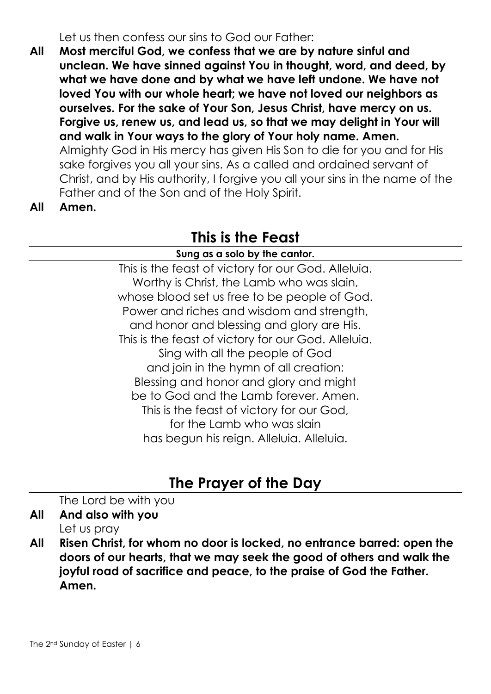Let us then confess our sins to God our Father:

**All Most merciful God, we confess that we are by nature sinful and unclean. We have sinned against You in thought, word, and deed, by what we have done and by what we have left undone. We have not loved You with our whole heart; we have not loved our neighbors as ourselves. For the sake of Your Son, Jesus Christ, have mercy on us. Forgive us, renew us, and lead us, so that we may delight in Your will and walk in Your ways to the glory of Your holy name. Amen.** Almighty God in His mercy has given His Son to die for you and for His sake forgives you all your sins. As a called and ordained servant of Christ, and by His authority, I forgive you all your sins in the name of the Father and of the Son and of the Holy Spirit.

**All Amen.**

## **This is the Feast**

#### **Sung as a solo by the cantor.**

This is the feast of victory for our God. Alleluia. Worthy is Christ, the Lamb who was slain, whose blood set us free to be people of God. Power and riches and wisdom and strength, and honor and blessing and glory are His. This is the feast of victory for our God. Alleluia. Sing with all the people of God and join in the hymn of all creation: Blessing and honor and glory and might be to God and the Lamb forever. Amen. This is the feast of victory for our God, for the Lamb who was slain has begun his reign. Alleluia. Alleluia.

## **The Prayer of the Day**

The Lord be with you

**All And also with you** Let us pray

**All Risen Christ, for whom no door is locked, no entrance barred: open the doors of our hearts, that we may seek the good of others and walk the joyful road of sacrifice and peace, to the praise of God the Father. Amen.**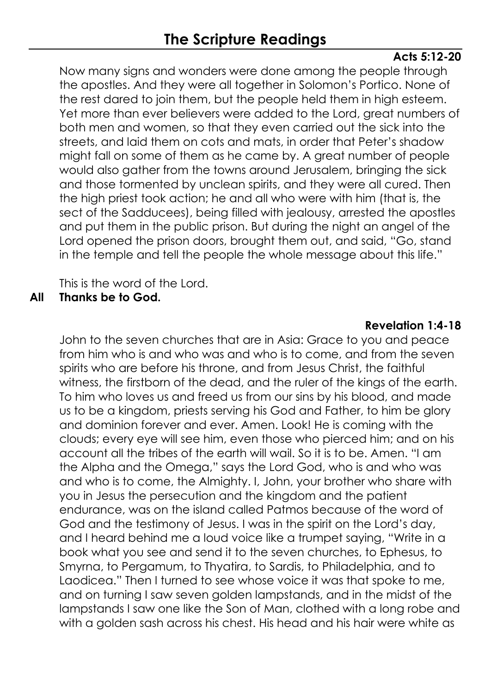#### **Acts 5:12-20**

Now many signs and wonders were done among the people through the apostles. And they were all together in Solomon's Portico. None of the rest dared to join them, but the people held them in high esteem. Yet more than ever believers were added to the Lord, great numbers of both men and women, so that they even carried out the sick into the streets, and laid them on cots and mats, in order that Peter's shadow might fall on some of them as he came by. A great number of people would also gather from the towns around Jerusalem, bringing the sick and those tormented by unclean spirits, and they were all cured. Then the high priest took action; he and all who were with him (that is, the sect of the Sadducees), being filled with jealousy, arrested the apostles and put them in the public prison. But during the night an angel of the Lord opened the prison doors, brought them out, and said, "Go, stand in the temple and tell the people the whole message about this life."

This is the word of the Lord.

#### **All Thanks be to God.**

#### **Revelation 1:4-18**

John to the seven churches that are in Asia: Grace to you and peace from him who is and who was and who is to come, and from the seven spirits who are before his throne, and from Jesus Christ, the faithful witness, the firstborn of the dead, and the ruler of the kings of the earth. To him who loves us and freed us from our sins by his blood, and made us to be a kingdom, priests serving his God and Father, to him be glory and dominion forever and ever. Amen. Look! He is coming with the clouds; every eye will see him, even those who pierced him; and on his account all the tribes of the earth will wail. So it is to be. Amen. "I am the Alpha and the Omega," says the Lord God, who is and who was and who is to come, the Almighty. I, John, your brother who share with you in Jesus the persecution and the kingdom and the patient endurance, was on the island called Patmos because of the word of God and the testimony of Jesus. I was in the spirit on the Lord's day, and I heard behind me a loud voice like a trumpet saying, "Write in a book what you see and send it to the seven churches, to Ephesus, to Smyrna, to Pergamum, to Thyatira, to Sardis, to Philadelphia, and to Laodicea." Then I turned to see whose voice it was that spoke to me, and on turning I saw seven golden lampstands, and in the midst of the lampstands I saw one like the Son of Man, clothed with a long robe and with a golden sash across his chest. His head and his hair were white as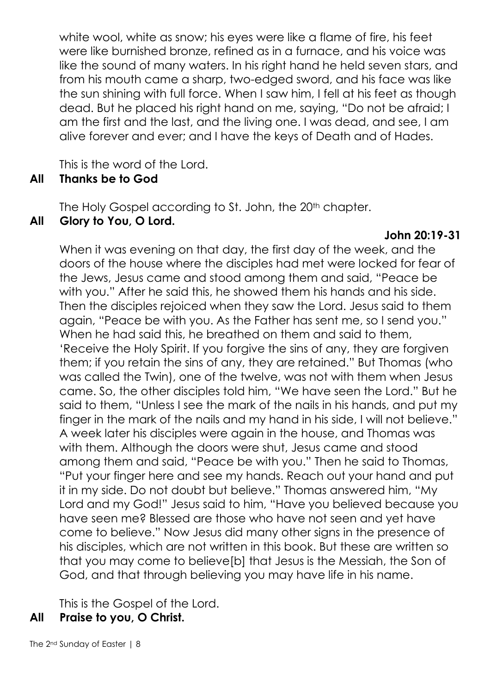white wool, white as snow; his eyes were like a flame of fire, his feet were like burnished bronze, refined as in a furnace, and his voice was like the sound of many waters. In his right hand he held seven stars, and from his mouth came a sharp, two-edged sword, and his face was like the sun shining with full force. When I saw him, I fell at his feet as though dead. But he placed his right hand on me, saying, "Do not be afraid; I am the first and the last, and the living one. I was dead, and see, I am alive forever and ever; and I have the keys of Death and of Hades.

This is the word of the Lord.

#### **All****Thanks be to God**

The Holy Gospel according to St. John, the 20<sup>th</sup> chapter.

#### **All****Glory to You, O Lord.**

#### **John 20:19-31**

When it was evening on that day, the first day of the week, and the doors of the house where the disciples had met were locked for fear of the Jews, Jesus came and stood among them and said, "Peace be with you." After he said this, he showed them his hands and his side. Then the disciples rejoiced when they saw the Lord. Jesus said to them again, "Peace be with you. As the Father has sent me, so I send you." When he had said this, he breathed on them and said to them, 'Receive the Holy Spirit. If you forgive the sins of any, they are forgiven them; if you retain the sins of any, they are retained." But Thomas (who was called the Twin), one of the twelve, was not with them when Jesus came. So, the other disciples told him, "We have seen the Lord." But he said to them, "Unless I see the mark of the nails in his hands, and put my finger in the mark of the nails and my hand in his side, I will not believe." A week later his disciples were again in the house, and Thomas was with them. Although the doors were shut, Jesus came and stood among them and said, "Peace be with you." Then he said to Thomas, "Put your finger here and see my hands. Reach out your hand and put it in my side. Do not doubt but believe." Thomas answered him, "My Lord and my God!" Jesus said to him, "Have you believed because you have seen me? Blessed are those who have not seen and yet have come to believe." Now Jesus did many other signs in the presence of his disciples, which are not written in this book. But these are written so that you may come to believe[b] that Jesus is the Messiah, the Son of God, and that through believing you may have life in his name.

This is the Gospel of the Lord.

## **All****Praise to you, O Christ.**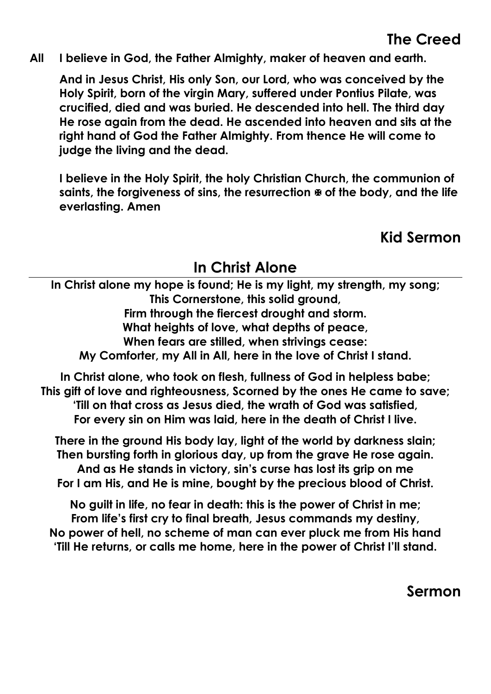**All I believe in God, the Father Almighty, maker of heaven and earth.**

**And in Jesus Christ, His only Son, our Lord, who was conceived by the Holy Spirit, born of the virgin Mary, suffered under Pontius Pilate, was crucified, died and was buried. He descended into hell. The third day He rose again from the dead. He ascended into heaven and sits at the right hand of God the Father Almighty. From thence He will come to judge the living and the dead.** 

**I believe in the Holy Spirit, the holy Christian Church, the communion of saints, the forgiveness of sins, the resurrection of the body, and the life everlasting. Amen**

#### **Kid Sermon**

## **In Christ Alone**

**In Christ alone my hope is found; He is my light, my strength, my song; This Cornerstone, this solid ground, Firm through the fiercest drought and storm. What heights of love, what depths of peace, When fears are stilled, when strivings cease: My Comforter, my All in All, here in the love of Christ I stand.**

**In Christ alone, who took on flesh, fullness of God in helpless babe; This gift of love and righteousness, Scorned by the ones He came to save; 'Till on that cross as Jesus died, the wrath of God was satisfied, For every sin on Him was laid, here in the death of Christ I live.**

**There in the ground His body lay, light of the world by darkness slain; Then bursting forth in glorious day, up from the grave He rose again. And as He stands in victory, sin's curse has lost its grip on me For I am His, and He is mine, bought by the precious blood of Christ.**

**No guilt in life, no fear in death: this is the power of Christ in me; From life's first cry to final breath, Jesus commands my destiny, No power of hell, no scheme of man can ever pluck me from His hand 'Till He returns, or calls me home, here in the power of Christ I'll stand.**

## **Sermon**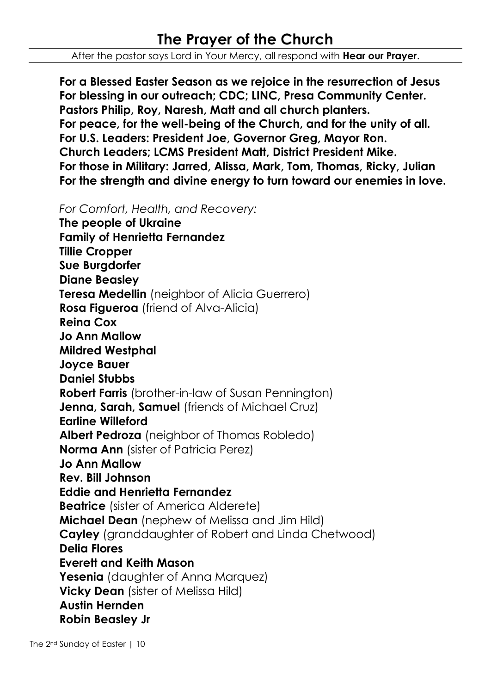#### After the pastor says Lord in Your Mercy, all respond with **Hear our Prayer**.

**For a Blessed Easter Season as we rejoice in the resurrection of Jesus For blessing in our outreach; CDC; LINC, Presa Community Center. Pastors Philip, Roy, Naresh, Matt and all church planters. For peace, for the well-being of the Church, and for the unity of all. For U.S. Leaders: President Joe, Governor Greg, Mayor Ron. Church Leaders; LCMS President Matt, District President Mike. For those in Military: Jarred, Alissa, Mark, Tom, Thomas, Ricky, Julian For the strength and divine energy to turn toward our enemies in love.** 

*For Comfort, Health, and Recovery:*

**The people of Ukraine Family of Henrietta Fernandez Tillie Cropper Sue Burgdorfer Diane Beasley Teresa Medellin** (neighbor of Alicia Guerrero) **Rosa Figueroa** (friend of Alva-Alicia) **Reina Cox Jo Ann Mallow Mildred Westphal Joyce Bauer Daniel Stubbs Robert Farris** (brother-in-law of Susan Pennington) **Jenna, Sarah, Samuel** (friends of Michael Cruz) **Earline Willeford Albert Pedroza** (neighbor of Thomas Robledo) **Norma Ann** (sister of Patricia Perez) **Jo Ann Mallow Rev. Bill Johnson Eddie and Henrietta Fernandez Beatrice** (sister of America Alderete) **Michael Dean** (nephew of Melissa and Jim Hild) **Cayley** (granddaughter of Robert and Linda Chetwood) **Delia Flores Everett and Keith Mason Yesenia** (daughter of Anna Marquez) **Vicky Dean** (sister of Melissa Hild) **Austin Hernden Robin Beasley Jr**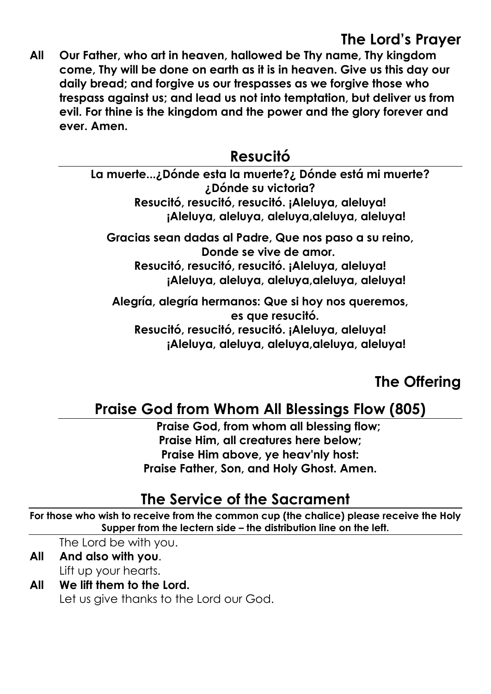#### **The Lord's Prayer**

**All Our Father, who art in heaven, hallowed be Thy name, Thy kingdom come, Thy will be done on earth as it is in heaven. Give us this day our daily bread; and forgive us our trespasses as we forgive those who trespass against us; and lead us not into temptation, but deliver us from evil. For thine is the kingdom and the power and the glory forever and ever. Amen.**

#### **Resucitó**

**La muerte...¿Dónde esta la muerte?¿ Dónde está mi muerte? ¿Dónde su victoria? Resucitó, resucitó, resucitó. ¡Aleluya, aleluya! ¡Aleluya, aleluya, aleluya,aleluya, aleluya! Gracias sean dadas al Padre, Que nos paso a su reino, Donde se vive de amor. Resucitó, resucitó, resucitó. ¡Aleluya, aleluya! ¡Aleluya, aleluya, aleluya,aleluya, aleluya! Alegría, alegría hermanos: Que si hoy nos queremos, es que resucitó.**

**Resucitó, resucitó, resucitó. ¡Aleluya, aleluya! ¡Aleluya, aleluya, aleluya,aleluya, aleluya!**

## **The Offering**

## **Praise God from Whom All Blessings Flow (805)**

 **Praise God, from whom all blessing flow; Praise Him, all creatures here below; Praise Him above, ye heav'nly host: Praise Father, Son, and Holy Ghost. Amen.**

#### **The Service of the Sacrament**

**For those who wish to receive from the common cup (the chalice) please receive the Holy Supper from the lectern side – the distribution line on the left.**

The Lord be with you.

- **All And also with you**. Lift up your hearts.
- **All We lift them to the Lord.**  Let us give thanks to the Lord our God.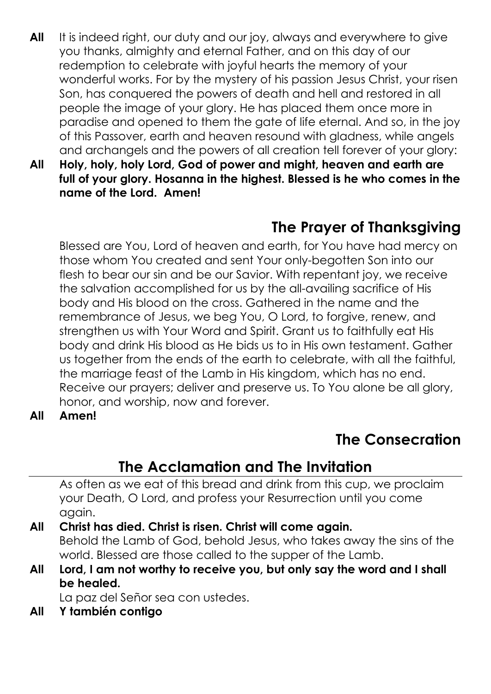- **All** It is indeed right, our duty and our joy, always and everywhere to give you thanks, almighty and eternal Father, and on this day of our redemption to celebrate with joyful hearts the memory of your wonderful works. For by the mystery of his passion Jesus Christ, your risen Son, has conquered the powers of death and hell and restored in all people the image of your glory. He has placed them once more in paradise and opened to them the gate of life eternal. And so, in the joy of this Passover, earth and heaven resound with gladness, while angels and archangels and the powers of all creation tell forever of your glory:
- **All Holy, holy, holy Lord, God of power and might, heaven and earth are full of your glory. Hosanna in the highest. Blessed is he who comes in the name of the Lord. Amen!**

## **The Prayer of Thanksgiving**

Blessed are You, Lord of heaven and earth, for You have had mercy on those whom You created and sent Your only-begotten Son into our flesh to bear our sin and be our Savior. With repentant joy, we receive the salvation accomplished for us by the all-availing sacrifice of His body and His blood on the cross. Gathered in the name and the remembrance of Jesus, we beg You, O Lord, to forgive, renew, and strengthen us with Your Word and Spirit. Grant us to faithfully eat His body and drink His blood as He bids us to in His own testament. Gather us together from the ends of the earth to celebrate, with all the faithful, the marriage feast of the Lamb in His kingdom, which has no end. Receive our prayers; deliver and preserve us. To You alone be all glory, honor, and worship, now and forever.

**All Amen!**

## **The Consecration**

## **The Acclamation and The Invitation**

As often as we eat of this bread and drink from this cup, we proclaim your Death, O Lord, and profess your Resurrection until you come again.

**All Christ has died. Christ is risen. Christ will come again.**  Behold the Lamb of God, behold Jesus, who takes away the sins of the world. Blessed are those called to the supper of the Lamb.

**All Lord, I am not worthy to receive you, but only say the word and I shall be healed.**

La paz del Señor sea con ustedes.

**All Y también contigo**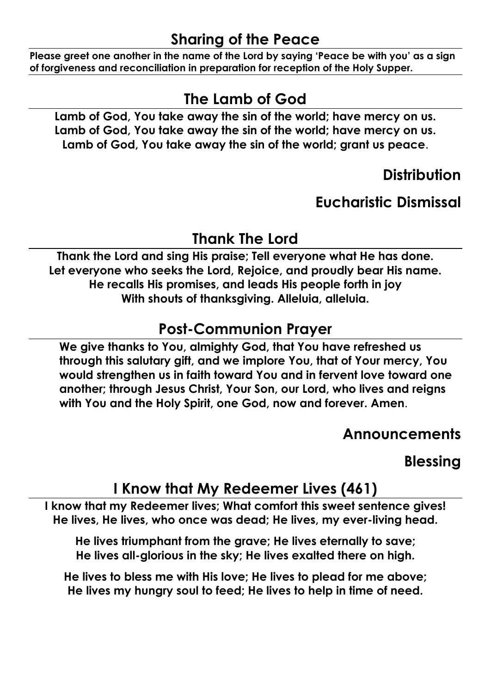#### **Sharing of the Peace**

**Please greet one another in the name of the Lord by saying 'Peace be with you' as a sign of forgiveness and reconciliation in preparation for reception of the Holy Supper.** 

## **The Lamb of God**

**Lamb of God, You take away the sin of the world; have mercy on us. Lamb of God, You take away the sin of the world; have mercy on us. Lamb of God, You take away the sin of the world; grant us peace**.

**Distribution** 

## **Eucharistic Dismissal**

#### **Thank The Lord**

**Thank the Lord and sing His praise; Tell everyone what He has done. Let everyone who seeks the Lord, Rejoice, and proudly bear His name. He recalls His promises, and leads His people forth in joy With shouts of thanksgiving. Alleluia, alleluia.**

#### **Post-Communion Prayer**

**We give thanks to You, almighty God, that You have refreshed us through this salutary gift, and we implore You, that of Your mercy, You would strengthen us in faith toward You and in fervent love toward one another; through Jesus Christ, Your Son, our Lord, who lives and reigns with You and the Holy Spirit, one God, now and forever. Amen**.

#### **Announcements**

#### **Blessing**

## **I Know that My Redeemer Lives (461)**

**I know that my Redeemer lives; What comfort this sweet sentence gives! He lives, He lives, who once was dead; He lives, my ever-living head.**

**He lives triumphant from the grave; He lives eternally to save; He lives all-glorious in the sky; He lives exalted there on high.**

**He lives to bless me with His love; He lives to plead for me above; He lives my hungry soul to feed; He lives to help in time of need.**